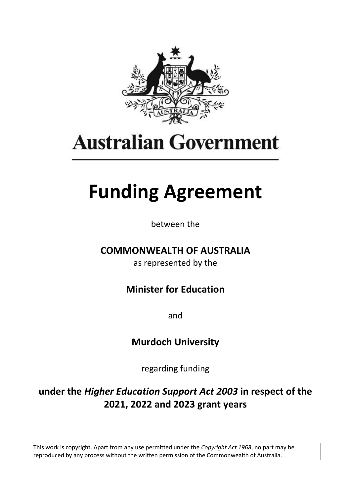

# **Australian Government**

# **Funding Agreement**

between the

# **COMMONWEALTH OF AUSTRALIA**

as represented by the

**Minister for Education** 

and

# **Murdoch University**

regarding funding

**under the** *Higher Education Support Act 2003* **in respect of the 2021, 2022 and 2023 grant years**

This work is copyright. Apart from any use permitted under the *Copyright Act 1968*, no part may be reproduced by any process without the written permission of the Commonwealth of Australia.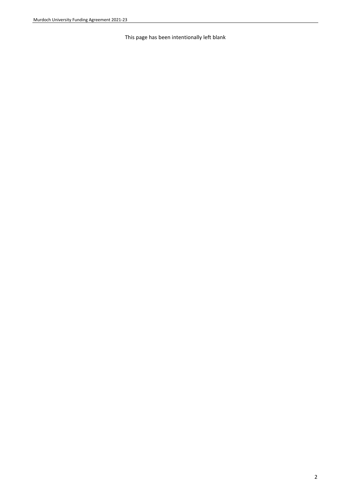This page has been intentionally left blank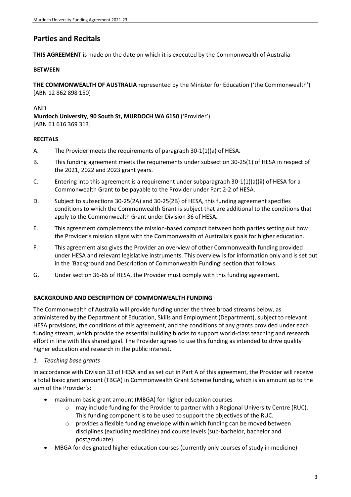# **Parties and Recitals**

**THIS AGREEMENT** is made on the date on which it is executed by the Commonwealth of Australia

## **BETWEEN**

**THE COMMONWEALTH OF AUSTRALIA** represented by the Minister for Education ('the Commonwealth') [ABN 12 862 898 150]

# AND

**Murdoch University**, **90 South St, MURDOCH WA 6150** ('Provider') [ABN 61 616 369 313]

## **RECITALS**

- A. The Provider meets the requirements of paragraph 30-1(1)(a) of HESA.
- B. This funding agreement meets the requirements under subsection 30-25(1) of HESA in respect of the 2021, 2022 and 2023 grant years.
- C. Entering into this agreement is a requirement under subparagraph 30-1(1)(a)(ii) of HESA for a Commonwealth Grant to be payable to the Provider under Part 2-2 of HESA.
- D. Subject to subsections 30-25(2A) and 30-25(2B) of HESA, this funding agreement specifies conditions to which the Commonwealth Grant is subject that are additional to the conditions that apply to the Commonwealth Grant under Division 36 of HESA.
- E. This agreement complements the mission-based compact between both parties setting out how the Provider's mission aligns with the Commonwealth of Australia's goals for higher education.
- F. This agreement also gives the Provider an overview of other Commonwealth funding provided under HESA and relevant legislative instruments. This overview is for information only and is set out in the 'Background and Description of Commonwealth Funding' section that follows.
- G. Under section 36-65 of HESA, the Provider must comply with this funding agreement.

# **BACKGROUND AND DESCRIPTION OF COMMONWEALTH FUNDING**

The Commonwealth of Australia will provide funding under the three broad streams below, as administered by the Department of Education, Skills and Employment (Department), subject to relevant HESA provisions, the conditions of this agreement, and the conditions of any grants provided under each funding stream, which provide the essential building blocks to support world-class teaching and research effort in line with this shared goal. The Provider agrees to use this funding as intended to drive quality higher education and research in the public interest.

#### *1. Teaching base grants*

In accordance with Division 33 of HESA and as set out in Part A of this agreement, the Provider will receive a total basic grant amount (TBGA) in Commonwealth Grant Scheme funding, which is an amount up to the sum of the Provider's:

- maximum basic grant amount (MBGA) for higher education courses
	- o may include funding for the Provider to partner with a Regional University Centre (RUC). This funding component is to be used to support the objectives of the RUC.
	- $\circ$  provides a flexible funding envelope within which funding can be moved between disciplines (excluding medicine) and course levels (sub-bachelor, bachelor and postgraduate).
- MBGA for designated higher education courses (currently only courses of study in medicine)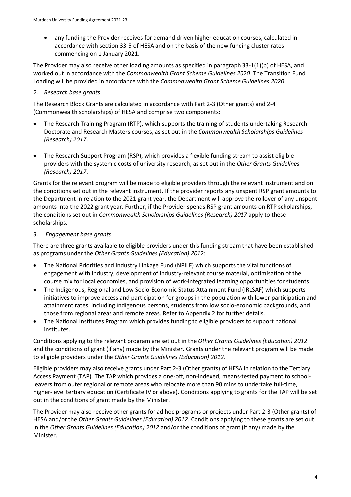• any funding the Provider receives for demand driven higher education courses, calculated in accordance with section 33-5 of HESA and on the basis of the new funding cluster rates commencing on 1 January 2021.

The Provider may also receive other loading amounts as specified in paragraph 33-1(1)(b) of HESA, and worked out in accordance with the *Commonwealth Grant Scheme Guidelines 2020*. The Transition Fund Loading will be provided in accordance with the *Commonwealth Grant Scheme Guidelines 2020.*

*2. Research base grants*

The Research Block Grants are calculated in accordance with Part 2-3 (Other grants) and 2-4 (Commonwealth scholarships) of HESA and comprise two components:

- The Research Training Program (RTP), which supports the training of students undertaking Research Doctorate and Research Masters courses, as set out in the *Commonwealth Scholarships Guidelines (Research) 2017*.
- The Research Support Program (RSP), which provides a flexible funding stream to assist eligible providers with the systemic costs of university research, as set out in the *Other Grants Guidelines (Research) 2017*.

Grants for the relevant program will be made to eligible providers through the relevant instrument and on the conditions set out in the relevant instrument. If the provider reports any unspent RSP grant amounts to the Department in relation to the 2021 grant year, the Department will approve the rollover of any unspent amounts into the 2022 grant year. Further, if the Provider spends RSP grant amounts on RTP scholarships, the conditions set out in *Commonwealth Scholarships Guidelines (Research) 2017* apply to these scholarships.

## *3. Engagement base grants*

There are three grants available to eligible providers under this funding stream that have been established as programs under the *Other Grants Guidelines (Education) 2012*:

- The National Priorities and Industry Linkage Fund (NPILF) which supports the vital functions of engagement with industry, development of industry-relevant course material, optimisation of the course mix for local economies, and provision of work-integrated learning opportunities for students.
- The Indigenous, Regional and Low Socio-Economic Status Attainment Fund (IRLSAF) which supports initiatives to improve access and participation for groups in the population with lower participation and attainment rates, including Indigenous persons, students from low socio-economic backgrounds, and those from regional areas and remote areas. Refer to Appendix 2 for further details.
- The National Institutes Program which provides funding to eligible providers to support national institutes.

Conditions applying to the relevant program are set out in the *Other Grants Guidelines (Education) 2012* and the conditions of grant (if any) made by the Minister. Grants under the relevant program will be made to eligible providers under the *Other Grants Guidelines (Education) 2012*.

Eligible providers may also receive grants under Part 2-3 (Other grants) of HESA in relation to the Tertiary Access Payment (TAP). The TAP which provides a one-off, non-indexed, means-tested payment to schoolleavers from outer regional or remote areas who relocate more than 90 mins to undertake full-time, higher-level tertiary education (Certificate IV or above). Conditions applying to grants for the TAP will be set out in the conditions of grant made by the Minister.

The Provider may also receive other grants for ad hoc programs or projects under Part 2-3 (Other grants) of HESA and/or the *Other Grants Guidelines (Education) 2012*. Conditions applying to these grants are set out in the *Other Grants Guidelines (Education) 2012* and/or the conditions of grant (if any) made by the Minister.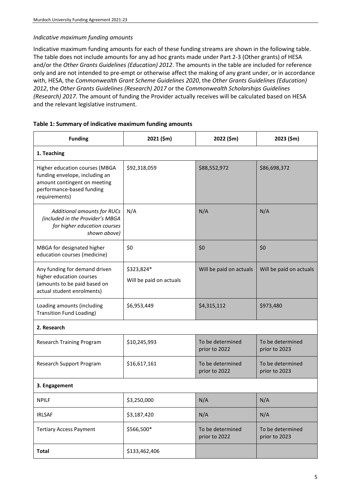#### *Indicative maximum funding amounts*

Indicative maximum funding amounts for each of these funding streams are shown in the following table. The table does not include amounts for any ad hoc grants made under Part 2-3 (Other grants) of HESA and/or the *Other Grants Guidelines (Education) 2012*. The amounts in the table are included for reference only and are not intended to pre-empt or otherwise affect the making of any grant under, or in accordance with, HESA, the *Commonwealth Grant Scheme Guidelines 2020*, the *Other Grants Guidelines (Education) 2012*, the *Other Grants Guidelines (Research) 2017* or the *Commonwealth Scholarships Guidelines (Research) 2017*. The amount of funding the Provider actually receives will be calculated based on HESA and the relevant legislative instrument.

| <b>Funding</b>                                                                                                                                 | 2021 (\$m)                            | 2022 (\$m)                        | 2023 (\$m)                        |  |  |  |
|------------------------------------------------------------------------------------------------------------------------------------------------|---------------------------------------|-----------------------------------|-----------------------------------|--|--|--|
| 1. Teaching                                                                                                                                    |                                       |                                   |                                   |  |  |  |
| Higher education courses (MBGA<br>funding envelope, including an<br>amount contingent on meeting<br>performance-based funding<br>requirements) | \$92,318,059                          | \$88,552,972                      | \$86,698,372                      |  |  |  |
| Additional amounts for RUCs<br>(included in the Provider's MBGA<br>for higher education courses<br>shown above)                                | N/A                                   | N/A                               | N/A                               |  |  |  |
| MBGA for designated higher<br>education courses (medicine)                                                                                     | \$0                                   | \$0                               | \$0                               |  |  |  |
| Any funding for demand driven<br>higher education courses<br>(amounts to be paid based on<br>actual student enrolments)                        | \$323,824*<br>Will be paid on actuals | Will be paid on actuals           | Will be paid on actuals           |  |  |  |
| Loading amounts (including<br><b>Transition Fund Loading)</b>                                                                                  | \$6,953,449                           | \$4,315,112                       | \$973,480                         |  |  |  |
| 2. Research                                                                                                                                    |                                       |                                   |                                   |  |  |  |
| Research Training Program                                                                                                                      | \$10,245,993                          | To be determined<br>prior to 2022 | To be determined<br>prior to 2023 |  |  |  |
| Research Support Program                                                                                                                       | \$16,617,161                          | To be determined<br>prior to 2022 | To be determined<br>prior to 2023 |  |  |  |
| 3. Engagement                                                                                                                                  |                                       |                                   |                                   |  |  |  |
| <b>NPILF</b>                                                                                                                                   | \$3,250,000                           | N/A                               | N/A                               |  |  |  |
| <b>IRLSAF</b>                                                                                                                                  | \$3,187,420                           | N/A                               | N/A                               |  |  |  |
| <b>Tertiary Access Payment</b>                                                                                                                 | \$566,500*                            | To be determined<br>prior to 2022 | To be determined<br>prior to 2023 |  |  |  |
| <b>Total</b>                                                                                                                                   | \$133,462,406                         |                                   |                                   |  |  |  |

#### **Table 1: Summary of indicative maximum funding amounts**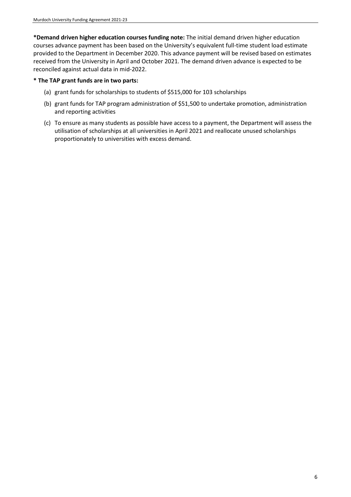**\*Demand driven higher education courses funding note:** The initial demand driven higher education courses advance payment has been based on the University's equivalent full-time student load estimate provided to the Department in December 2020. This advance payment will be revised based on estimates received from the University in April and October 2021. The demand driven advance is expected to be reconciled against actual data in mid-2022.

#### **\* The TAP grant funds are in two parts:**

- (a) grant funds for scholarships to students of \$515,000 for 103 scholarships
- (b) grant funds for TAP program administration of \$51,500 to undertake promotion, administration and reporting activities
- (c) To ensure as many students as possible have access to a payment, the Department will assess the utilisation of scholarships at all universities in April 2021 and reallocate unused scholarships proportionately to universities with excess demand.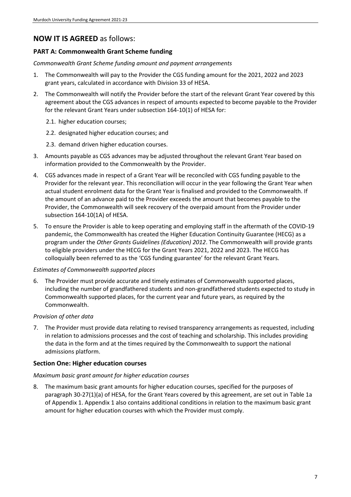# **NOW IT IS AGREED** as follows:

# **PART A: Commonwealth Grant Scheme funding**

*Commonwealth Grant Scheme funding amount and payment arrangements*

- 1. The Commonwealth will pay to the Provider the CGS funding amount for the 2021, 2022 and 2023 grant years, calculated in accordance with Division 33 of HESA.
- 2. The Commonwealth will notify the Provider before the start of the relevant Grant Year covered by this agreement about the CGS advances in respect of amounts expected to become payable to the Provider for the relevant Grant Years under subsection 164-10(1) of HESA for:
	- 2.1. higher education courses;
	- 2.2. designated higher education courses; and
	- 2.3. demand driven higher education courses.
- 3. Amounts payable as CGS advances may be adjusted throughout the relevant Grant Year based on information provided to the Commonwealth by the Provider.
- 4. CGS advances made in respect of a Grant Year will be reconciled with CGS funding payable to the Provider for the relevant year. This reconciliation will occur in the year following the Grant Year when actual student enrolment data for the Grant Year is finalised and provided to the Commonwealth. If the amount of an advance paid to the Provider exceeds the amount that becomes payable to the Provider, the Commonwealth will seek recovery of the overpaid amount from the Provider under subsection 164-10(1A) of HESA.
- 5. To ensure the Provider is able to keep operating and employing staff in the aftermath of the COVID-19 pandemic, the Commonwealth has created the Higher Education Continuity Guarantee (HECG) as a program under the *Other Grants Guidelines (Education) 2012*. The Commonwealth will provide grants to eligible providers under the HECG for the Grant Years 2021, 2022 and 2023. The HECG has colloquially been referred to as the 'CGS funding guarantee' for the relevant Grant Years.

#### *Estimates of Commonwealth supported places*

6. The Provider must provide accurate and timely estimates of Commonwealth supported places, including the number of grandfathered students and non-grandfathered students expected to study in Commonwealth supported places, for the current year and future years, as required by the Commonwealth.

#### *Provision of other data*

7. The Provider must provide data relating to revised transparency arrangements as requested, including in relation to admissions processes and the cost of teaching and scholarship. This includes providing the data in the form and at the times required by the Commonwealth to support the national admissions platform.

#### **Section One: Higher education courses**

#### *Maximum basic grant amount for higher education courses*

8. The maximum basic grant amounts for higher education courses, specified for the purposes of paragraph 30-27(1)(a) of HESA, for the Grant Years covered by this agreement, are set out in Table 1a of Appendix 1. Appendix 1 also contains additional conditions in relation to the maximum basic grant amount for higher education courses with which the Provider must comply.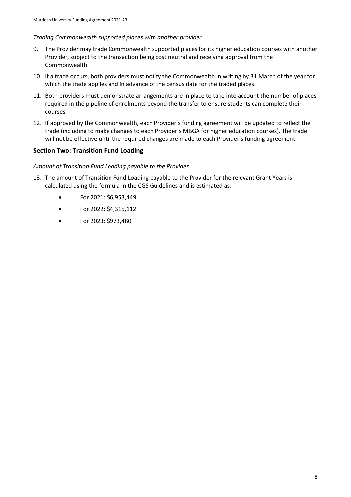#### *Trading Commonwealth supported places with another provider*

- 9. The Provider may trade Commonwealth supported places for its higher education courses with another Provider, subject to the transaction being cost neutral and receiving approval from the Commonwealth.
- 10. If a trade occurs, both providers must notify the Commonwealth in writing by 31 March of the year for which the trade applies and in advance of the census date for the traded places.
- 11. Both providers must demonstrate arrangements are in place to take into account the number of places required in the pipeline of enrolments beyond the transfer to ensure students can complete their courses.
- 12. If approved by the Commonwealth, each Provider's funding agreement will be updated to reflect the trade (including to make changes to each Provider's MBGA for higher education courses). The trade will not be effective until the required changes are made to each Provider's funding agreement.

#### **Section Two: Transition Fund Loading**

#### *Amount of Transition Fund Loading payable to the Provider*

- 13. The amount of Transition Fund Loading payable to the Provider for the relevant Grant Years is calculated using the formula in the CGS Guidelines and is estimated as:
	- For 2021: \$6,953,449
	- For 2022: \$4,315,112
	- For 2023: \$973,480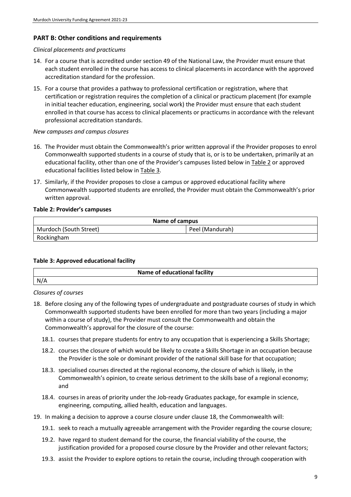#### **PART B: Other conditions and requirements**

#### *Clinical placements and practicums*

- 14. For a course that is accredited under section 49 of the National Law, the Provider must ensure that each student enrolled in the course has access to clinical placements in accordance with the approved accreditation standard for the profession.
- 15. For a course that provides a pathway to professional certification or registration, where that certification or registration requires the completion of a clinical or practicum placement (for example in initial teacher education, engineering, social work) the Provider must ensure that each student enrolled in that course has access to clinical placements or practicums in accordance with the relevant professional accreditation standards.

#### *New campuses and campus closures*

- 16. The Provider must obtain the Commonwealth's prior written approval if the Provider proposes to enrol Commonwealth supported students in a course of study that is, or is to be undertaken, primarily at an educational facility, other than one of the Provider's campuses listed below in Table 2 or approved educational facilities listed below in Table 3.
- 17. Similarly, if the Provider proposes to close a campus or approved educational facility where Commonwealth supported students are enrolled, the Provider must obtain the Commonwealth's prior written approval.

#### **Table 2: Provider's campuses**

| Name of campus         |                 |  |  |
|------------------------|-----------------|--|--|
| Murdoch (South Street) | Peel (Mandurah) |  |  |
| Rockingham             |                 |  |  |

#### **Table 3: Approved educational facility**

| Name of educational facility |
|------------------------------|
| N/A                          |

*Closures of courses*

- 18. Before closing any of the following types of undergraduate and postgraduate courses of study in which Commonwealth supported students have been enrolled for more than two years (including a major within a course of study), the Provider must consult the Commonwealth and obtain the Commonwealth's approval for the closure of the course:
	- 18.1. courses that prepare students for entry to any occupation that is experiencing a Skills Shortage;
	- 18.2. courses the closure of which would be likely to create a Skills Shortage in an occupation because the Provider is the sole or dominant provider of the national skill base for that occupation;
	- 18.3. specialised courses directed at the regional economy, the closure of which is likely, in the Commonwealth's opinion, to create serious detriment to the skills base of a regional economy; and
	- 18.4. courses in areas of priority under the Job-ready Graduates package, for example in science, engineering, computing, allied health, education and languages.
- 19. In making a decision to approve a course closure under clause 18, the Commonwealth will:
	- 19.1. seek to reach a mutually agreeable arrangement with the Provider regarding the course closure;
	- 19.2. have regard to student demand for the course, the financial viability of the course, the justification provided for a proposed course closure by the Provider and other relevant factors;
	- 19.3. assist the Provider to explore options to retain the course, including through cooperation with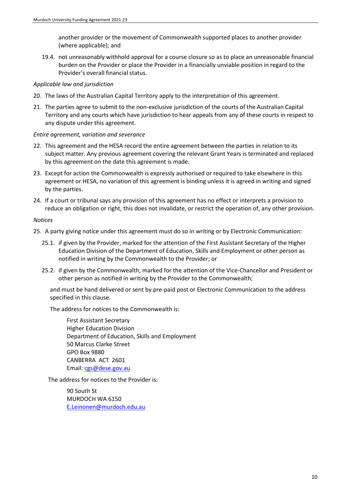another provider or the movement of Commonwealth supported places to another provider (where applicable); and

19.4. not unreasonably withhold approval for a course closure so as to place an unreasonable financial burden on the Provider or place the Provider in a financially unviable position in regard to the Provider's overall financial status.

#### *Applicable law and jurisdiction*

- 20. The laws of the Australian Capital Territory apply to the interpretation of this agreement.
- 21. The parties agree to submit to the non-exclusive jurisdiction of the courts of the Australian Capital Territory and any courts which have jurisdiction to hear appeals from any of these courts in respect to any dispute under this agreement.

#### *Entire agreement, variation and severance*

- 22. This agreement and the HESA record the entire agreement between the parties in relation to its subject matter. Any previous agreement covering the relevant Grant Years is terminated and replaced by this agreement on the date this agreement is made.
- 23. Except for action the Commonwealth is expressly authorised or required to take elsewhere in this agreement or HESA, no variation of this agreement is binding unless it is agreed in writing and signed by the parties.
- 24. If a court or tribunal says any provision of this agreement has no effect or interprets a provision to reduce an obligation or right, this does not invalidate, or restrict the operation of, any other provision.

#### *Notices*

- 25. A party giving notice under this agreement must do so in writing or by Electronic Communication:
	- 25.1. if given by the Provider, marked for the attention of the First Assistant Secretary of the Higher Education Division of the Department of Education, Skills and Employment or other person as notified in writing by the Commonwealth to the Provider; or
	- 25.2. if given by the Commonwealth, marked for the attention of the Vice-Chancellor and President or other person as notified in writing by the Provider to the Commonwealth;

and must be hand delivered or sent by pre-paid post or Electronic Communication to the address specified in this clause.

The address for notices to the Commonwealth is:

First Assistant Secretary Higher Education Division Department of Education, Skills and Employment 50 Marcus Clarke Street GPO Box 9880 CANBERRA ACT 2601 Email: [cgs@dese.gov.au](mailto:cgs@dese.gov.au)

The address for notices to the Provider is:

90 South St MURDOCH WA 6150 [E.Leinonen@murdoch.edu.au](mailto:E.Leinonen@murdoch.edu.au)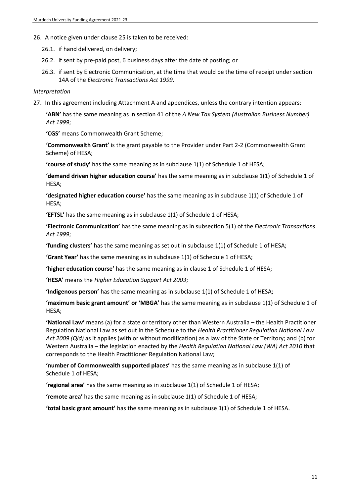- 26. A notice given under clause 25 is taken to be received:
	- 26.1. if hand delivered, on delivery;
	- 26.2. if sent by pre-paid post, 6 business days after the date of posting; or
	- 26.3. if sent by Electronic Communication, at the time that would be the time of receipt under section 14A of the *Electronic Transactions Act 1999*.

#### *Interpretation*

27. In this agreement including Attachment A and appendices, unless the contrary intention appears:

**'ABN'** has the same meaning as in section 41 of the *A New Tax System (Australian Business Number) Act 1999*;

**'CGS'** means Commonwealth Grant Scheme;

**'Commonwealth Grant'** is the grant payable to the Provider under Part 2-2 (Commonwealth Grant Scheme) of HESA;

**'course of study'** has the same meaning as in subclause 1(1) of Schedule 1 of HESA;

**'demand driven higher education course'** has the same meaning as in subclause 1(1) of Schedule 1 of HESA;

**'designated higher education course'** has the same meaning as in subclause 1(1) of Schedule 1 of HESA;

**'EFTSL'** has the same meaning as in subclause 1(1) of Schedule 1 of HESA;

**'Electronic Communication'** has the same meaning as in subsection 5(1) of the *Electronic Transactions Act 1999*;

**'funding clusters'** has the same meaning as set out in subclause 1(1) of Schedule 1 of HESA;

**'Grant Year'** has the same meaning as in subclause 1(1) of Schedule 1 of HESA;

**'higher education course'** has the same meaning as in clause 1 of Schedule 1 of HESA;

**'HESA'** means the *Higher Education Support Act 2003*;

**'Indigenous person'** has the same meaning as in subclause 1(1) of Schedule 1 of HESA;

**'maximum basic grant amount' or 'MBGA'** has the same meaning as in subclause 1(1) of Schedule 1 of HESA;

**'National Law'** means (a) for a state or territory other than Western Australia – the Health Practitioner Regulation National Law as set out in the Schedule to the *Health Practitioner Regulation National Law Act 2009 (Qld)* as it applies (with or without modification) as a law of the State or Territory; and (b) for Western Australia – the legislation enacted by the *Health Regulation National Law (WA) Act 2010* that corresponds to the Health Practitioner Regulation National Law;

**'number of Commonwealth supported places'** has the same meaning as in subclause 1(1) of Schedule 1 of HESA;

**'regional area'** has the same meaning as in subclause 1(1) of Schedule 1 of HESA;

**'remote area'** has the same meaning as in subclause 1(1) of Schedule 1 of HESA;

**'total basic grant amount'** has the same meaning as in subclause 1(1) of Schedule 1 of HESA.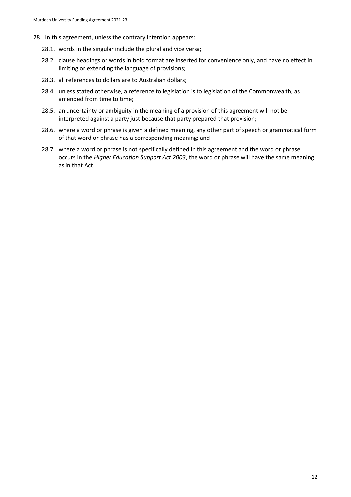- 28. In this agreement, unless the contrary intention appears:
	- 28.1. words in the singular include the plural and vice versa;
	- 28.2. clause headings or words in bold format are inserted for convenience only, and have no effect in limiting or extending the language of provisions;
	- 28.3. all references to dollars are to Australian dollars;
	- 28.4. unless stated otherwise, a reference to legislation is to legislation of the Commonwealth, as amended from time to time;
	- 28.5. an uncertainty or ambiguity in the meaning of a provision of this agreement will not be interpreted against a party just because that party prepared that provision;
	- 28.6. where a word or phrase is given a defined meaning, any other part of speech or grammatical form of that word or phrase has a corresponding meaning; and
	- 28.7. where a word or phrase is not specifically defined in this agreement and the word or phrase occurs in the *Higher Education Support Act 2003*, the word or phrase will have the same meaning as in that Act.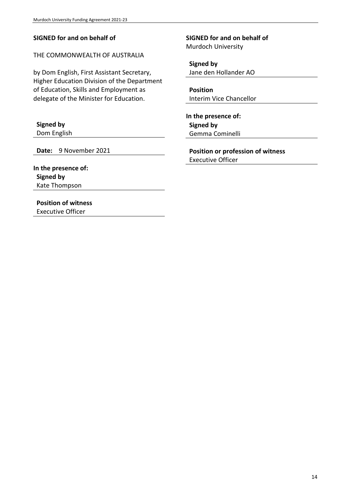#### **SIGNED for and on behalf of**

THE COMMONWEALTH OF AUSTRALIA

by Dom English, First Assistant Secretary, Higher Education Division of the Department of Education, Skills and Employment as delegate of the Minister for Education.

#### **Signed by**

Dom English

**Date:** 9 November 2021

**In the presence of: Signed by**  Kate Thompson

**Position of witness**  Executive Officer

**SIGNED for and on behalf of**

Murdoch University

**Signed by**  Jane den Hollander AO

**Position**  Interim Vice Chancellor

**In the presence of: Signed by**  Gemma Cominelli

**Position or profession of witness**  Executive Officer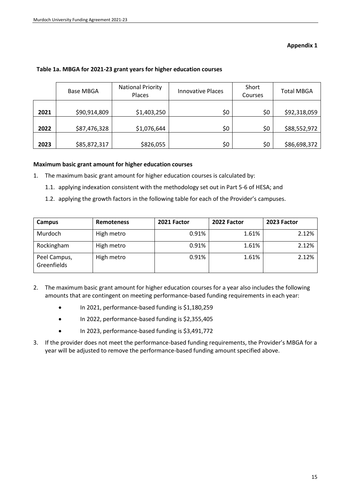#### **Appendix 1**

|      | <b>Base MBGA</b> | <b>National Priority</b><br>Places | <b>Innovative Places</b> | Short<br>Courses | <b>Total MBGA</b> |
|------|------------------|------------------------------------|--------------------------|------------------|-------------------|
| 2021 | \$90,914,809     | \$1,403,250                        | \$0                      | \$0              | \$92,318,059      |
| 2022 | \$87,476,328     | \$1,076,644                        | \$0                      | \$0              | \$88,552,972      |
| 2023 | \$85,872,317     | \$826,055                          | \$0                      | \$0              | \$86,698,372      |

#### **Table 1a. MBGA for 2021-23 grant years for higher education courses**

#### **Maximum basic grant amount for higher education courses**

- 1. The maximum basic grant amount for higher education courses is calculated by:
	- 1.1. applying indexation consistent with the methodology set out in Part 5-6 of HESA; and
	- 1.2. applying the growth factors in the following table for each of the Provider's campuses.

| <b>Campus</b>               | <b>Remoteness</b> | 2021 Factor | 2022 Factor | 2023 Factor |
|-----------------------------|-------------------|-------------|-------------|-------------|
| Murdoch                     | High metro        | 0.91%       | 1.61%       | 2.12%       |
| Rockingham                  | High metro        | 0.91%       | 1.61%       | 2.12%       |
| Peel Campus,<br>Greenfields | High metro        | 0.91%       | 1.61%       | 2.12%       |

- 2. The maximum basic grant amount for higher education courses for a year also includes the following amounts that are contingent on meeting performance-based funding requirements in each year:
	- In 2021, performance-based funding is \$1,180,259
	- In 2022, performance-based funding is \$2,355,405
	- In 2023, performance-based funding is \$3,491,772
- 3. If the provider does not meet the performance-based funding requirements, the Provider's MBGA for a year will be adjusted to remove the performance-based funding amount specified above.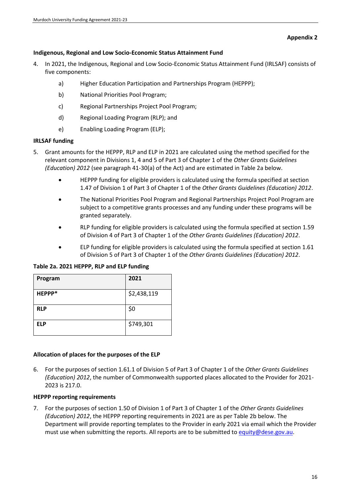#### **Appendix 2**

#### **Indigenous, Regional and Low Socio-Economic Status Attainment Fund**

- 4. In 2021, the Indigenous, Regional and Low Socio-Economic Status Attainment Fund (IRLSAF) consists of five components:
	- a) Higher Education Participation and Partnerships Program (HEPPP);
	- b) National Priorities Pool Program;
	- c) Regional Partnerships Project Pool Program;
	- d) Regional Loading Program (RLP); and
	- e) Enabling Loading Program (ELP);

#### **IRLSAF funding**

- 5. Grant amounts for the HEPPP, RLP and ELP in 2021 are calculated using the method specified for the relevant component in Divisions 1, 4 and 5 of Part 3 of Chapter 1 of the *Other Grants Guidelines (Education) 2012* (see paragraph 41-30(a) of the Act) and are estimated in Table 2a below.
	- HEPPP funding for eligible providers is calculated using the formula specified at section 1.47 of Division 1 of Part 3 of Chapter 1 of the *Other Grants Guidelines (Education) 2012*.
	- The National Priorities Pool Program and Regional Partnerships Project Pool Program are subject to a competitive grants processes and any funding under these programs will be granted separately.
	- RLP funding for eligible providers is calculated using the formula specified at section 1.59 of Division 4 of Part 3 of Chapter 1 of the *Other Grants Guidelines (Education) 2012*.
	- ELP funding for eligible providers is calculated using the formula specified at section 1.61 of Division 5 of Part 3 of Chapter 1 of the *Other Grants Guidelines (Education) 2012*.

**Table 2a. 2021 HEPPP, RLP and ELP funding**

| Program    | 2021        |
|------------|-------------|
| HEPPP*     | \$2,438,119 |
| <b>RLP</b> | \$0         |
| <b>ELP</b> | \$749,301   |

#### **Allocation of places for the purposes of the ELP**

6. For the purposes of section 1.61.1 of Division 5 of Part 3 of Chapter 1 of the *Other Grants Guidelines (Education) 2012*, the number of Commonwealth supported places allocated to the Provider for 2021- 2023 is 217.0.

#### **HEPPP reporting requirements**

7. For the purposes of section 1.50 of Division 1 of Part 3 of Chapter 1 of the *Other Grants Guidelines (Education) 2012*, the HEPPP reporting requirements in 2021 are as per Table 2b below. The Department will provide reporting templates to the Provider in early 2021 via email which the Provider must use when submitting the reports. All reports are to be submitted to [equity@dese.gov.au.](mailto:equity@dese.gov.au)